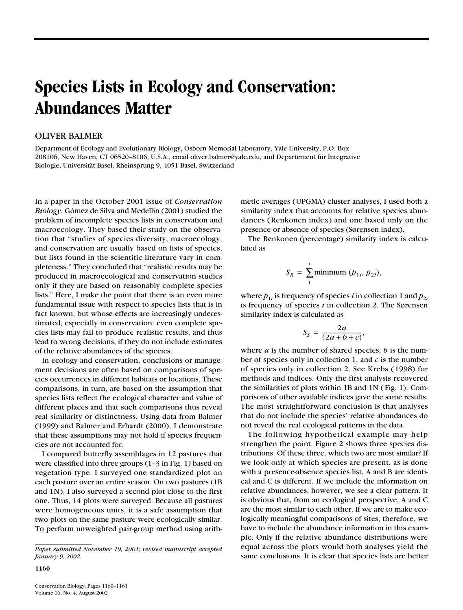## **Species Lists in Ecology and Conservation: Abundances Matter**

## OLIVER BALMER

Department of Ecology and Evolutionary Biology, Osborn Memorial Laboratory, Yale University, P.O. Box 208106, New Haven, CT 06520–8106, U.S.A., email oliver.balmer@yale.edu, and Departement für Integrative Biologie, Universität Basel, Rheinsprung 9, 4051 Basel, Switzerland

In a paper in the October 2001 issue of *Conservation Biology*, Gómez de Silva and Medellín (2001) studied the problem of incomplete species lists in conservation and macroecology. They based their study on the observation that "studies of species diversity, macroecology, and conservation are usually based on lists of species, but lists found in the scientific literature vary in completeness." They concluded that "realistic results may be produced in macroecological and conservation studies only if they are based on reasonably complete species lists." Here, I make the point that there is an even more fundamental issue with respect to species lists that is in fact known, but whose effects are increasingly underestimated, especially in conservation: even complete species lists may fail to produce realistic results, and thus lead to wrong decisions, if they do not include estimates of the relative abundances of the species.

In ecology and conservation, conclusions or management decisions are often based on comparisons of species occurrences in different habitats or locations. These comparisons, in turn, are based on the assumption that species lists reflect the ecological character and value of different places and that such comparisons thus reveal real similarity or distinctness. Using data from Balmer (1999) and Balmer and Erhardt (2000), I demonstrate that these assumptions may not hold if species frequencies are not accounted for.

I compared butterfly assemblages in 12 pastures that were classified into three groups (1–3 in Fig. 1) based on vegetation type. I surveyed one standardized plot on each pasture over an entire season. On two pastures (1B and 1N), I also surveyed a second plot close to the first one. Thus, 14 plots were surveyed. Because all pastures were homogeneous units, it is a safe assumption that two plots on the same pasture were ecologically similar. To perform unweighted pair-group method using arithmetic averages (UPGMA) cluster analyses, I used both a similarity index that accounts for relative species abundances (Renkonen index) and one based only on the presence or absence of species (Sørensen index).

The Renkonen (percentage) similarity index is calculated as

$$
S_R = \sum_{1}^{i} \text{minimum } (p_{1i}, p_{2i}),
$$

where  $p_{1i}$  is frequency of species *i* in collection 1 and  $p_{2i}$ is frequency of species *i* in collection 2. The Sørensen similarity index is calculated as

$$
S_S = \frac{2a}{(2a+b+c)},
$$

where *a* is the number of shared species, *b* is the number of species only in collection 1, and *c* is the number of species only in collection 2. See Krebs (1998) for methods and indices. Only the first analysis recovered the similarities of plots within 1B and 1N ( Fig. 1). Comparisons of other available indices gave the same results. The most straightforward conclusion is that analyses that do not include the species' relative abundances do not reveal the real ecological patterns in the data.

The following hypothetical example may help strengthen the point. Figure 2 shows three species distributions. Of these three, which two are most similar? If we look only at which species are present, as is done with a presence-absence species list, A and B are identical and C is different. If we include the information on relative abundances, however, we see a clear pattern. It is obvious that, from an ecological perspective, A and C are the most similar to each other. If we are to make ecologically meaningful comparisons of sites, therefore, we have to include the abundance information in this example. Only if the relative abundance distributions were equal across the plots would both analyses yield the same conclusions. It is clear that species lists are better

**1160**

*Paper submitted November 19, 2001; revised manuscript accepted January 9, 2002.*